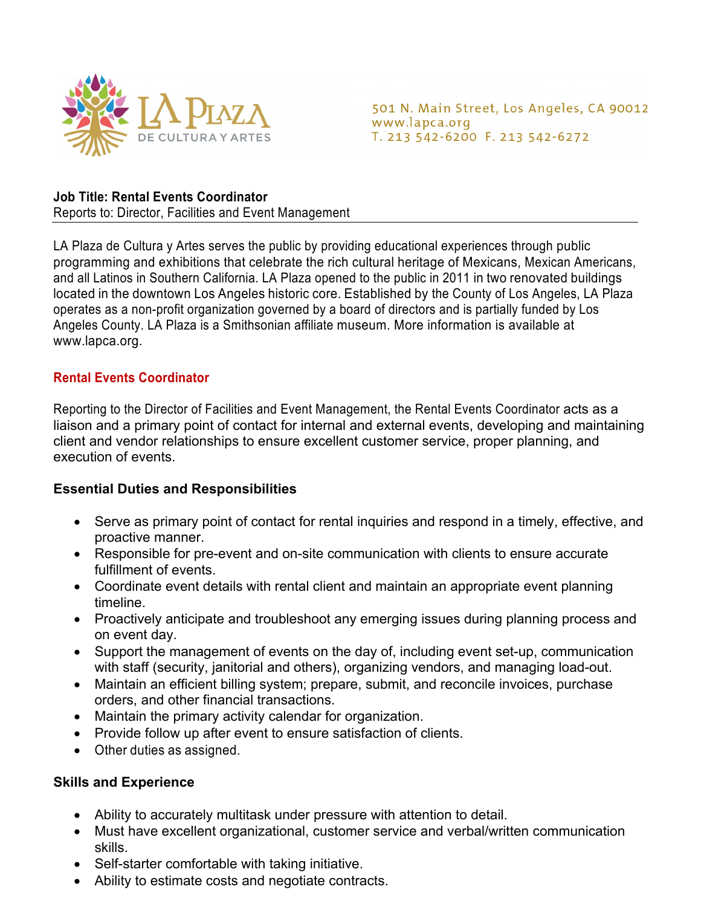

501 N. Main Street, Los Angeles, CA 90012 www.lapca.org T. 213 542-6200 F. 213 542-6272

## **Job Title: Rental Events Coordinator**

Reports to: Director, Facilities and Event Management

LA Plaza de Cultura y Artes serves the public by providing educational experiences through public programming and exhibitions that celebrate the rich cultural heritage of Mexicans, Mexican Americans, and all Latinos in Southern California. LA Plaza opened to the public in 2011 in two renovated buildings located in the downtown Los Angeles historic core. Established by the County of Los Angeles, LA Plaza operates as a non-profit organization governed by a board of directors and is partially funded by Los Angeles County. LA Plaza is a Smithsonian affiliate museum. More information is available at www.lapca.org.

## **Rental Events Coordinator**

Reporting to the Director of Facilities and Event Management, the Rental Events Coordinator acts as a liaison and a primary point of contact for internal and external events, developing and maintaining client and vendor relationships to ensure excellent customer service, proper planning, and execution of events.

### **Essential Duties and Responsibilities**

- Serve as primary point of contact for rental inquiries and respond in a timely, effective, and proactive manner.
- Responsible for pre-event and on-site communication with clients to ensure accurate fulfillment of events.
- Coordinate event details with rental client and maintain an appropriate event planning timeline.
- Proactively anticipate and troubleshoot any emerging issues during planning process and on event day.
- Support the management of events on the day of, including event set-up, communication with staff (security, janitorial and others), organizing vendors, and managing load-out.
- Maintain an efficient billing system; prepare, submit, and reconcile invoices, purchase orders, and other financial transactions.
- Maintain the primary activity calendar for organization.
- Provide follow up after event to ensure satisfaction of clients.
- Other duties as assigned.

### **Skills and Experience**

- Ability to accurately multitask under pressure with attention to detail.
- Must have excellent organizational, customer service and verbal/written communication skills.
- Self-starter comfortable with taking initiative.
- Ability to estimate costs and negotiate contracts.